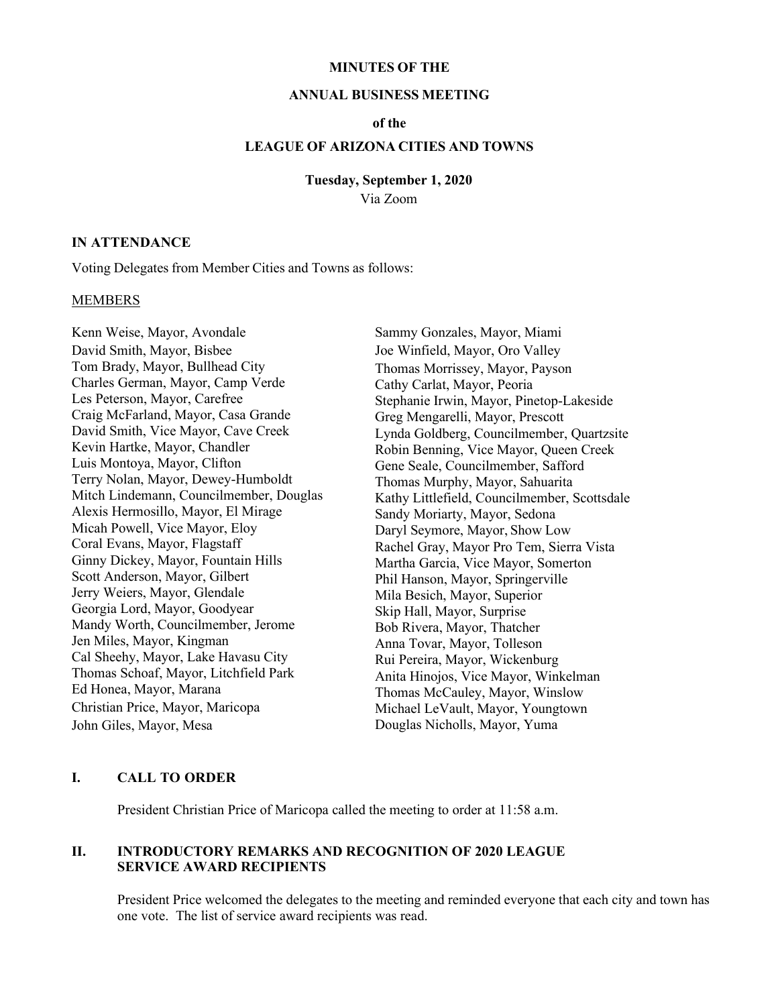#### **MINUTES OF THE**

#### **ANNUAL BUSINESS MEETING**

### **of the**

### **LEAGUE OF ARIZONA CITIES AND TOWNS**

### **Tuesday, September 1, 2020**

Via Zoom

#### **IN ATTENDANCE**

Voting Delegates from Member Cities and Towns as follows:

### **MEMBERS**

Kenn Weise, Mayor, Avondale David Smith, Mayor, Bisbee Tom Brady, Mayor, Bullhead City Charles German, Mayor, Camp Verde Les Peterson, Mayor, Carefree Craig McFarland, Mayor, Casa Grande David Smith, Vice Mayor, Cave Creek Kevin Hartke, Mayor, Chandler Luis Montoya, Mayor, Clifton Terry Nolan, Mayor, Dewey-Humboldt Mitch Lindemann, Councilmember, Douglas Alexis Hermosillo, Mayor, El Mirage Micah Powell, Vice Mayor, Eloy Coral Evans, Mayor, Flagstaff Ginny Dickey, Mayor, Fountain Hills Scott Anderson, Mayor, Gilbert Jerry Weiers, Mayor, Glendale Georgia Lord, Mayor, Goodyear Mandy Worth, Councilmember, Jerome Jen Miles, Mayor, Kingman Cal Sheehy, Mayor, Lake Havasu City Thomas Schoaf, Mayor, Litchfield Park Ed Honea, Mayor, Marana Christian Price, Mayor, Maricopa John Giles, Mayor, Mesa

Sammy Gonzales, Mayor, Miami Joe Winfield, Mayor, Oro Valley Thomas Morrissey, Mayor, Payson Cathy Carlat, Mayor, Peoria Stephanie Irwin, Mayor, Pinetop-Lakeside Greg Mengarelli, Mayor, Prescott Lynda Goldberg, Councilmember, Quartzsite Robin Benning, Vice Mayor, Queen Creek Gene Seale, Councilmember, Safford Thomas Murphy, Mayor, Sahuarita Kathy Littlefield, Councilmember, Scottsdale Sandy Moriarty, Mayor, Sedona Daryl Seymore, Mayor, Show Low Rachel Gray, Mayor Pro Tem, Sierra Vista Martha Garcia, Vice Mayor, Somerton Phil Hanson, Mayor, Springerville Mila Besich, Mayor, Superior Skip Hall, Mayor, Surprise Bob Rivera, Mayor, Thatcher Anna Tovar, Mayor, Tolleson Rui Pereira, Mayor, Wickenburg Anita Hinojos, Vice Mayor, Winkelman Thomas McCauley, Mayor, Winslow Michael LeVault, Mayor, Youngtown Douglas Nicholls, Mayor, Yuma

### **I. CALL TO ORDER**

President Christian Price of Maricopa called the meeting to order at 11:58 a.m.

### **II. INTRODUCTORY REMARKS AND RECOGNITION OF 2020 LEAGUE SERVICE AWARD RECIPIENTS**

President Price welcomed the delegates to the meeting and reminded everyone that each city and town has one vote. The list of service award recipients was read.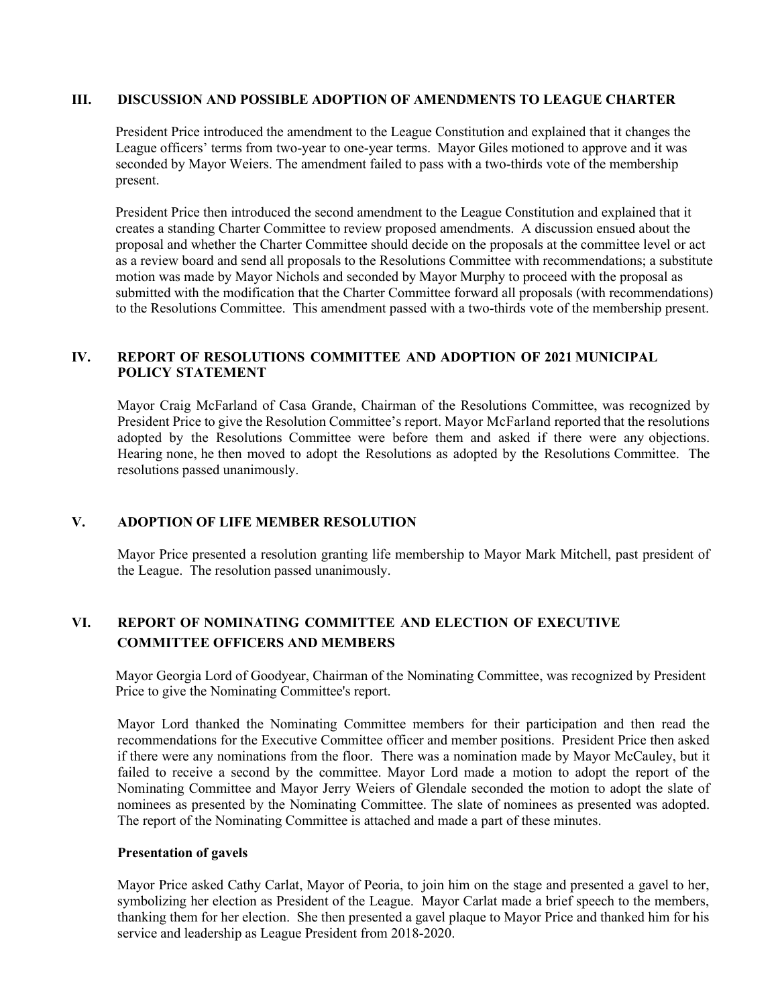### **III. DISCUSSION AND POSSIBLE ADOPTION OF AMENDMENTS TO LEAGUE CHARTER**

President Price introduced the amendment to the League Constitution and explained that it changes the League officers' terms from two-year to one-year terms. Mayor Giles motioned to approve and it was seconded by Mayor Weiers. The amendment failed to pass with a two-thirds vote of the membership present.

President Price then introduced the second amendment to the League Constitution and explained that it creates a standing Charter Committee to review proposed amendments. A discussion ensued about the proposal and whether the Charter Committee should decide on the proposals at the committee level or act as a review board and send all proposals to the Resolutions Committee with recommendations; a substitute motion was made by Mayor Nichols and seconded by Mayor Murphy to proceed with the proposal as submitted with the modification that the Charter Committee forward all proposals (with recommendations) to the Resolutions Committee. This amendment passed with a two-thirds vote of the membership present.

## **IV. REPORT OF RESOLUTIONS COMMITTEE AND ADOPTION OF 2021 MUNICIPAL POLICY STATEMENT**

Mayor Craig McFarland of Casa Grande, Chairman of the Resolutions Committee, was recognized by President Price to give the Resolution Committee's report. Mayor McFarland reported that the resolutions adopted by the Resolutions Committee were before them and asked if there were any objections. Hearing none, he then moved to adopt the Resolutions as adopted by the Resolutions Committee. The resolutions passed unanimously.

### **V. ADOPTION OF LIFE MEMBER RESOLUTION**

Mayor Price presented a resolution granting life membership to Mayor Mark Mitchell, past president of the League. The resolution passed unanimously.

## **VI. REPORT OF NOMINATING COMMITTEE AND ELECTION OF EXECUTIVE COMMITTEE OFFICERS AND MEMBERS**

Mayor Georgia Lord of Goodyear, Chairman of the Nominating Committee, was recognized by President Price to give the Nominating Committee's report.

Mayor Lord thanked the Nominating Committee members for their participation and then read the recommendations for the Executive Committee officer and member positions. President Price then asked if there were any nominations from the floor. There was a nomination made by Mayor McCauley, but it failed to receive a second by the committee. Mayor Lord made a motion to adopt the report of the Nominating Committee and Mayor Jerry Weiers of Glendale seconded the motion to adopt the slate of nominees as presented by the Nominating Committee. The slate of nominees as presented was adopted. The report of the Nominating Committee is attached and made a part of these minutes.

### **Presentation of gavels**

Mayor Price asked Cathy Carlat, Mayor of Peoria, to join him on the stage and presented a gavel to her, symbolizing her election as President of the League. Mayor Carlat made a brief speech to the members, thanking them for her election. She then presented a gavel plaque to Mayor Price and thanked him for his service and leadership as League President from 2018-2020.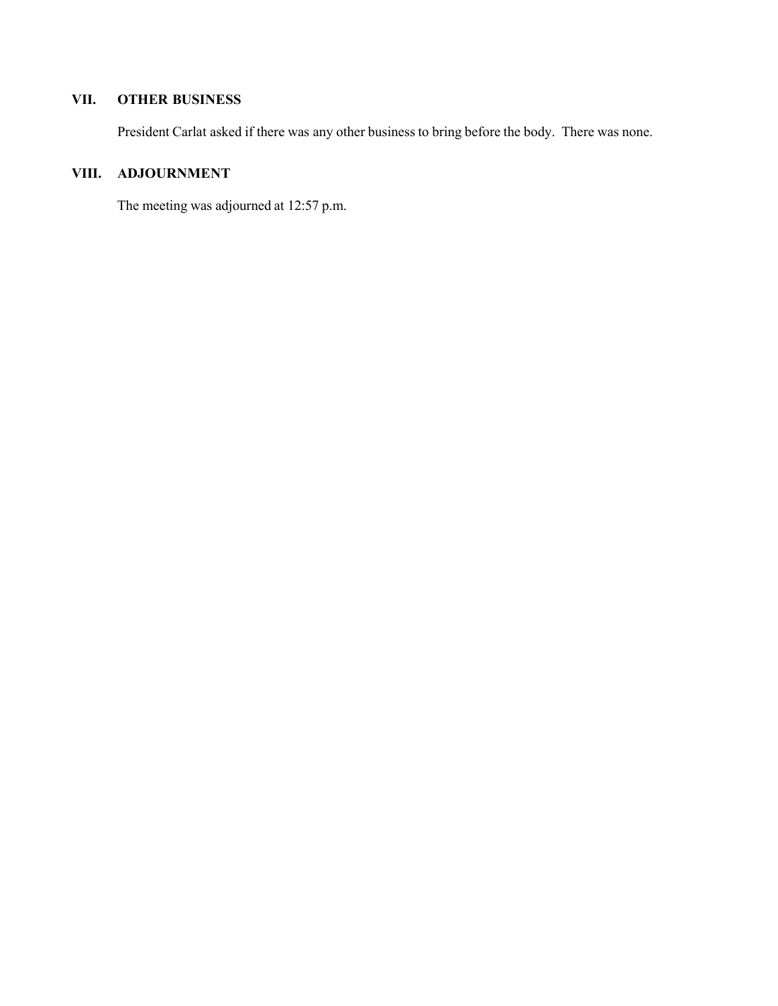# **VII. OTHER BUSINESS**

President Carlat asked if there was any other business to bring before the body. There was none.

# **VIII. ADJOURNMENT**

The meeting was adjourned at 12:57 p.m.